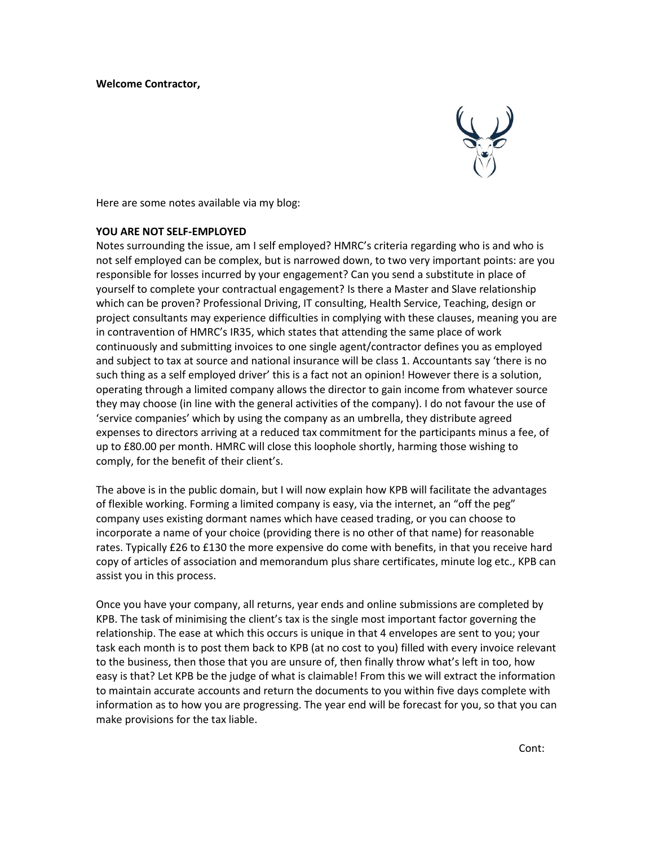

Here are some notes available via my blog:

## **YOU ARE NOT SELF-EMPLOYED**

Notes surrounding the issue, am I self employed? HMRC's criteria regarding who is and who is not self employed can be complex, but is narrowed down, to two very important points: are you responsible for losses incurred by your engagement? Can you send a substitute in place of yourself to complete your contractual engagement? Is there a Master and Slave relationship which can be proven? Professional Driving, IT consulting, Health Service, Teaching, design or project consultants may experience difficulties in complying with these clauses, meaning you are in contravention of HMRC's IR35, which states that attending the same place of work continuously and submitting invoices to one single agent/contractor defines you as employed and subject to tax at source and national insurance will be class 1. Accountants say 'there is no such thing as a self employed driver' this is a fact not an opinion! However there is a solution, operating through a limited company allows the director to gain income from whatever source they may choose (in line with the general activities of the company). I do not favour the use of 'service companies' which by using the company as an umbrella, they distribute agreed expenses to directors arriving at a reduced tax commitment for the participants minus a fee, of up to £80.00 per month. HMRC will close this loophole shortly, harming those wishing to comply, for the benefit of their client's.

The above is in the public domain, but I will now explain how KPB will facilitate the advantages of flexible working. Forming a limited company is easy, via the internet, an "off the peg" company uses existing dormant names which have ceased trading, or you can choose to incorporate a name of your choice (providing there is no other of that name) for reasonable rates. Typically £26 to £130 the more expensive do come with benefits, in that you receive hard copy of articles of association and memorandum plus share certificates, minute log etc., KPB can assist you in this process.

Once you have your company, all returns, year ends and online submissions are completed by KPB. The task of minimising the client's tax is the single most important factor governing the relationship. The ease at which this occurs is unique in that 4 envelopes are sent to you; your task each month is to post them back to KPB (at no cost to you) filled with every invoice relevant to the business, then those that you are unsure of, then finally throw what's left in too, how easy is that? Let KPB be the judge of what is claimable! From this we will extract the information to maintain accurate accounts and return the documents to you within five days complete with information as to how you are progressing. The year end will be forecast for you, so that you can make provisions for the tax liable.

Cont: